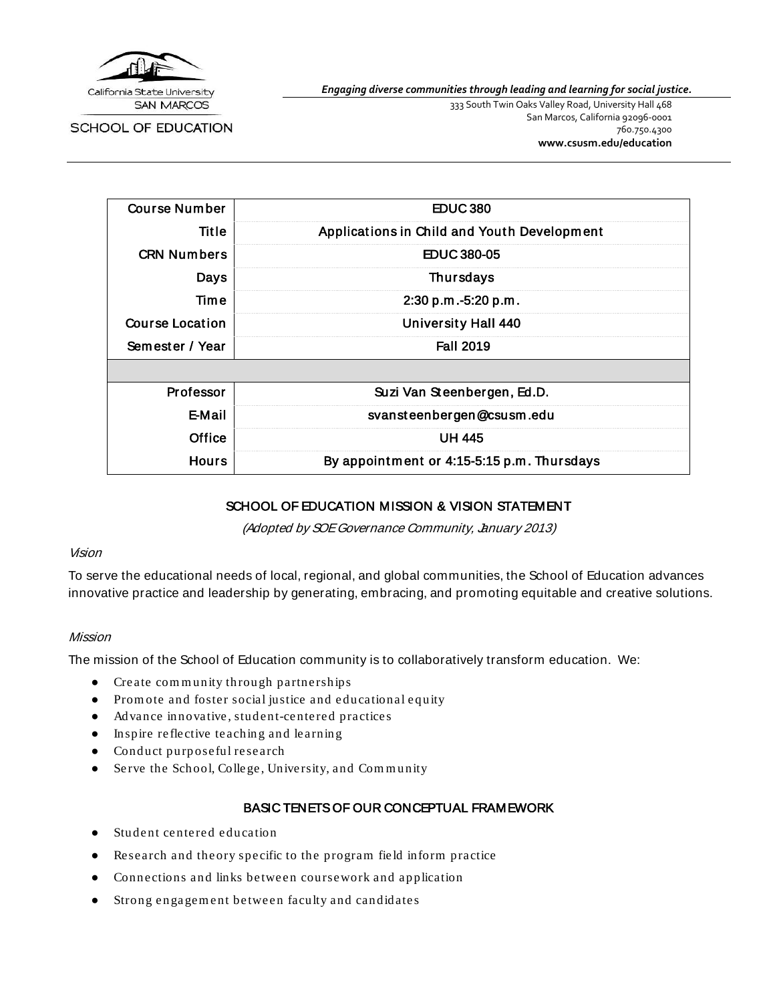

California State University **SAN MARCOS** 

SCHOOL OF EDUCATION

*Engaging diverse communities through leading and learning for social justice.*

333 South Twin Oaks Valley Road, University Hall 468 San Marcos, California 92096-0001 760.750.4300 **[www.csusm.edu/education](http://www.csusm.edu/education)**

| <b>Course Number</b> | <b>EDUC380</b>                              |
|----------------------|---------------------------------------------|
| Title                | Applications in Child and Youth Development |
| <b>CRN Numbers</b>   | EDUC 380-05                                 |
| Days                 | <b>Thursdays</b>                            |
| Time                 | 2:30 p.m.-5:20 p.m.                         |
| Course Location      | <b>University Hall 440</b>                  |
| Semester / Year      | <b>Fall 2019</b>                            |
|                      |                                             |
| <b>Professor</b>     | Suzi Van Steenbergen, Ed.D.                 |
| <b>E-Mail</b>        | svansteenbergen@csusm.edu                   |
| Office               | <b>UH 445</b>                               |
| <b>Hours</b>         | By appointment or 4:15-5:15 p.m. Thursdays  |

### SCHOOL OF EDUCATION MISSION & VISION STATEMENT

(Adopted by SOE Governance Community, January 2013)

#### Vision

To serve the educational needs of local, regional, and global communities, the School of Education advances innovative practice and leadership by generating, embracing, and promoting equitable and creative solutions.

#### Mission

The mission of the School of Education community is to collaboratively transform education. We:

- Create com m unity throu gh partnerships
- Prom ote and foster social justice and educational eq uity
- Advance innovative, student-centered practices
- Inspire reflective teaching and learnin g
- Conduct purp oseful research
- Serve the School, Colle ge, University, and Com m unity

### BASIC TENETS OF OUR CONCEPTUAL FRAMEWORK

- Student centered education
- Research and theory specific to the program field inform practice
- Connections and links between coursework and application
- Strong engagement between faculty and candidates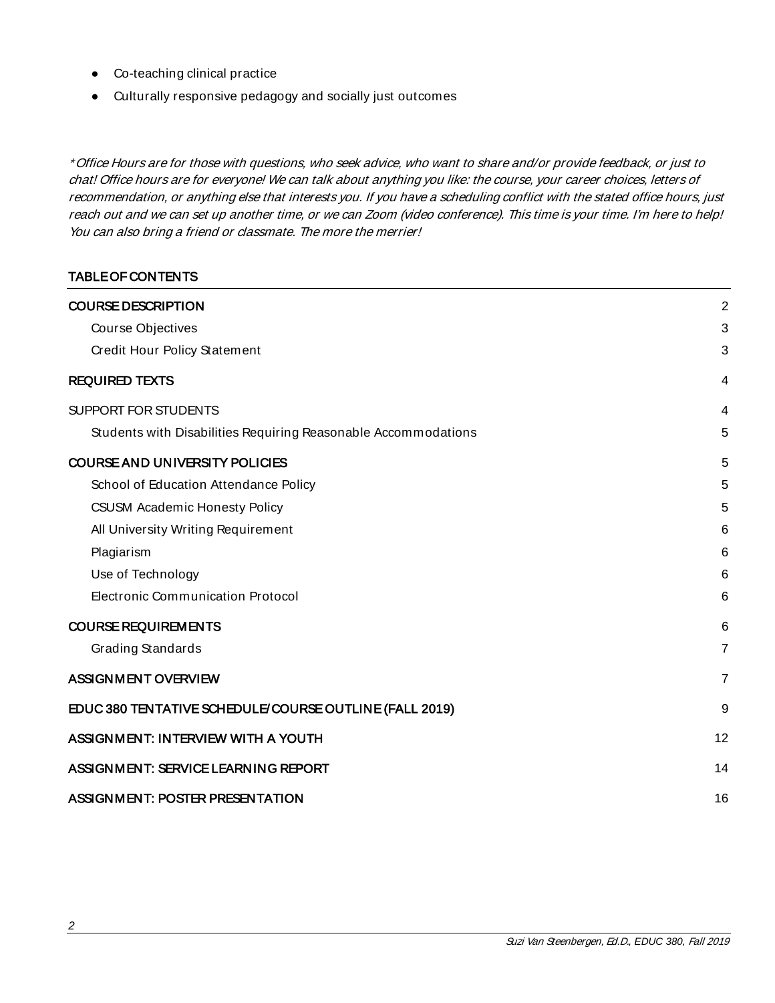- Co-teaching clinical practice
- Culturally responsive pedagogy and socially just outcomes

\* Office Hours are for those with questions, who seek advice, who want to share and/or provide feedback, or just to chat! Office hours are for everyone! We can talk about anything you like: the course, your career choices, letters of recommendation, or anything else that interests you. If you have a scheduling conflict with the stated office hours, just reach out and we can set up another time, or we can Zoom (video conference). This time is your time. I'm here to help! You can also bring a friend or classmate. The more the merrier!

### TABLE OF CONTENTS

<span id="page-1-0"></span>

| <b>COURSE DESCRIPTION</b>                                      | $\overline{2}$ |
|----------------------------------------------------------------|----------------|
| Course Objectives                                              | 3              |
| Credit Hour Policy Statement                                   | 3              |
| <b>REQUIRED TEXTS</b>                                          | 4              |
| SUPPORT FOR STUDENTS                                           | 4              |
| Students with Disabilities Requiring Reasonable Accommodations | 5              |
| <b>COURSE AND UNIVERSITY POLICIES</b>                          | 5              |
| School of Education Attendance Policy                          | 5              |
| <b>CSUSM Academic Honesty Policy</b>                           | 5              |
| All University Writing Requirement                             | 6              |
| Plagiarism                                                     | 6              |
| Use of Technology                                              | 6              |
| <b>Electronic Communication Protocol</b>                       | 6              |
| <b>COURSE REQUIREMENTS</b>                                     | 6              |
| Grading Standards                                              | $\overline{7}$ |
| <b>ASSIGNMENT OVERVIEW</b>                                     | $\overline{7}$ |
| EDUC 380 TENTATIVE SCHEDULE/COURSE OUTLINE (FALL 2019)         | 9              |
| ASSIGNMENT: INTERVIEW WITH A YOUTH                             | 12             |
| ASSIGNMENT: SERVICE LEARNING REPORT                            | 14             |
| <b>ASSIGNMENT: POSTER PRESENTATION</b>                         | 16             |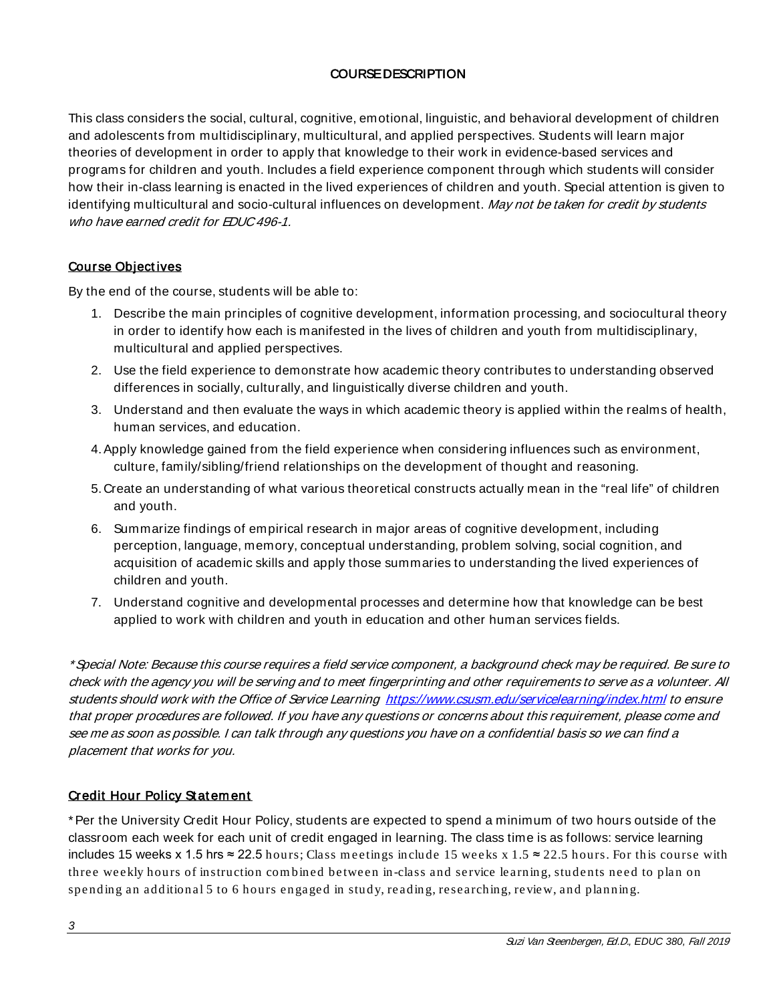# COURSE DESCRIPTION

This class considers the social, cultural, cognitive, emotional, linguistic, and behavioral development of children and adolescents from multidisciplinary, multicultural, and applied perspectives. Students will learn major theories of development in order to apply that knowledge to their work in evidence-based services and programs for children and youth. Includes a field experience component through which students will consider how their in-class learning is enacted in the lived experiences of children and youth. Special attention is given to identifying multicultural and socio-cultural influences on development. May not be taken for credit by students who have earned credit for EDUC 496-1.

### <span id="page-2-0"></span>Course Object ives

By the end of the course, students will be able to:

- 1. Describe the main principles of cognitive development, information processing, and sociocultural theory in order to identify how each is manifested in the lives of children and youth from multidisciplinary, multicultural and applied perspectives.
- 2. Use the field experience to demonstrate how academic theory contributes to understanding observed differences in socially, culturally, and linguistically diverse children and youth.
- 3. Understand and then evaluate the ways in which academic theory is applied within the realms of health, human services, and education.
- 4.Apply knowledge gained from the field experience when considering influences such as environment, culture, family/sibling/friend relationships on the development of thought and reasoning.
- 5. Create an understanding of what various theoretical constructs actually mean in the "real life" of children and youth.
- 6. Summarize findings of empirical research in major areas of cognitive development, including perception, language, memory, conceptual understanding, problem solving, social cognition, and acquisition of academic skills and apply those summaries to understanding the lived experiences of children and youth.
- 7. Understand cognitive and developmental processes and determine how that knowledge can be best applied to work with children and youth in education and other human services fields.

\* Special Note: Because this course requires a field service component, a background check may be required. Be sure to check with the agency you will be serving and to meet fingerprinting and other requirements to serve as a volunteer. All students should work with the Office of Service Learning <https://www.csusm.edu/servicelearning/index.html> to ensure that proper procedures are followed. If you have any questions or concerns about this requirement, please come and see me as soon as possible. I can talk through any questions you have on a confidential basis so we can find a placement that works for you.

### <span id="page-2-1"></span>Credit Hour Policy Statement

\*Per the University Credit Hour Policy, students are expected to spend a minimum of two hours outside of the classroom each week for each unit of credit engaged in learning. The class time is as follows: service learning includes 15 weeks x 1.5 hrs ≈ 22.5 hours; Class meetings include 15 weeks x 1.5 ≈ 22.5 hours. For this course with three weekly hours of instruction com bined between in-class and service learning, students need to plan on spending an additional 5 to 6 hours engaged in study, reading, researching, review, and planning.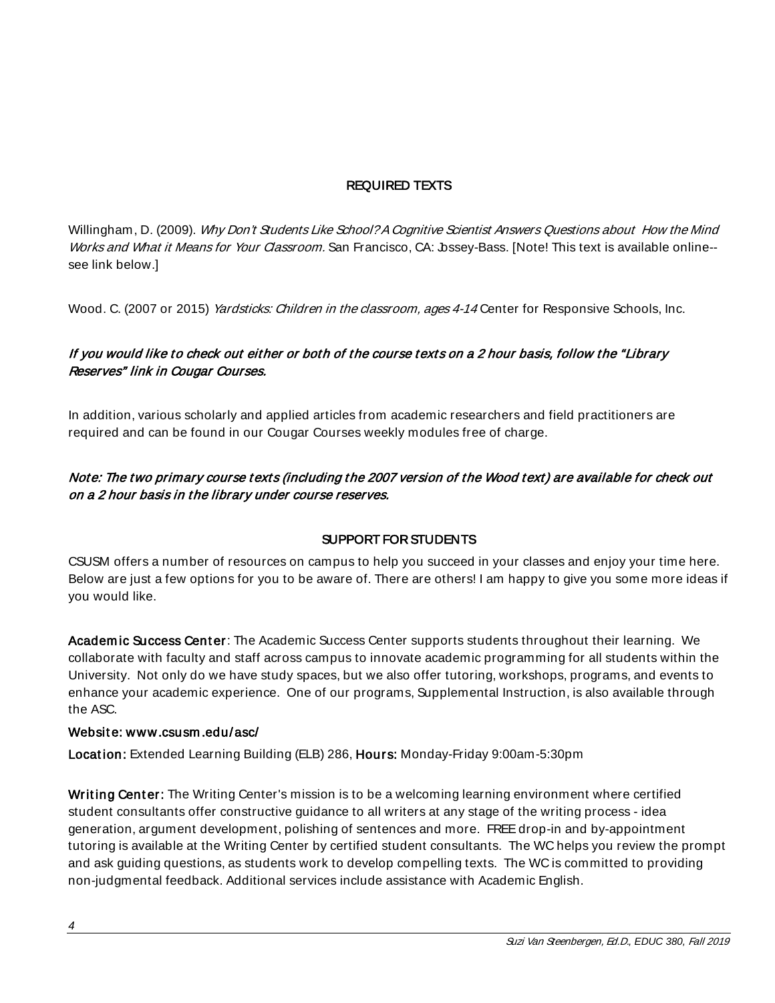# REQUIRED TEXTS

<span id="page-3-0"></span>Willingham, D. (2009). Why Don't Students Like School? A Cognitive Scientist Answers Questions about How the Mind Works and What it Means for Your Classroom. San Francisco, CA: bssey-Bass. [Note! This text is available online-see link below.]

Wood. C. (2007 or 2015) Yardsticks: Children in the classroom, ages 4-14 Center for Responsive Schools, Inc.

# If you would like to check out either or both of the course texts on a 2 hour basis, follow the "Library Reserves" link in Cougar Courses.

In addition, various scholarly and applied articles from academic researchers and field practitioners are required and can be found in our Cougar Courses weekly modules free of charge.

# Note: The two primary course t exts (including t he 2007 version of the Wood text) are available for check out on a 2 hour basis in the library under course reserves.

# SUPPORT FOR STUDENTS

<span id="page-3-1"></span>CSUSM offers a number of resources on campus to help you succeed in your classes and enjoy your time here. Below are just a few options for you to be aware of. There are others! I am happy to give you some more ideas if you would like.

Academic Success Center: The Academic Success Center supports students throughout their learning. We collaborate with faculty and staff across campus to innovate academic programming for all students within the University. Not only do we have study spaces, but we also offer tutoring, workshops, programs, and events to enhance your academic experience. One of our programs, Supplemental Instruction, is also available through the ASC.

#### Websit e: [www.csusm .edu/asc/](http://www.csusm.edu/asc/)

Location: Extended Learning Building (ELB) 286, Hours: Monday-Friday 9:00am-5:30pm

Writing Center: The Writing Center's mission is to be a welcoming learning environment where certified student consultants offer constructive guidance to all writers at any stage of the writing process - idea generation, argument development, polishing of sentences and more. FREE drop-in and by-appointment tutoring is available at the Writing Center by certified student consultants. The WC helps you review the prompt and ask guiding questions, as students work to develop compelling texts. The WC is committed to providing non-judgmental feedback. Additional services include assistance with Academic English.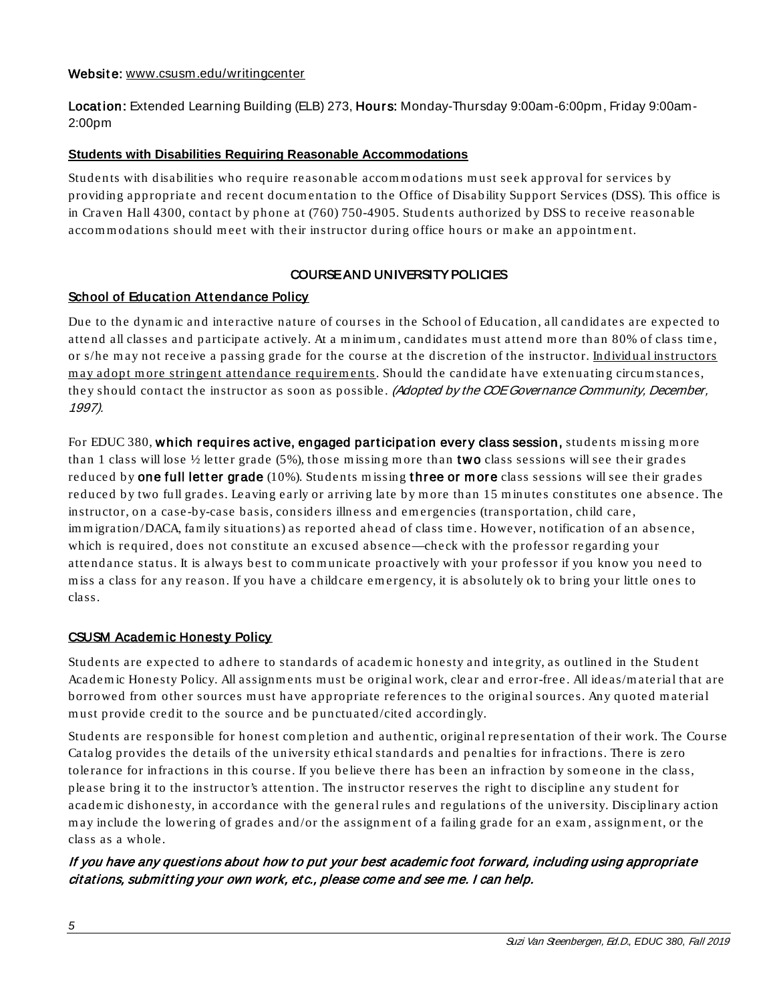#### Website: [www.csusm.edu/writingcenter](https://www.csusm.edu/writingcenter/)

Location: Extended Learning Building (ELB) 273, Hours: Monday-Thursday 9:00am-6:00pm, Friday 9:00am-2:00pm

### <span id="page-4-0"></span>**Students with Disabilities Requiring Reasonable Accommodations**

Students with disabilities who require reasonable accom m odations m ust seek approval for services by providing appropriate and recent docum entation to the Office of Disability Support Services (DSS). This office is in Craven Hall 4300, contact by phone at (760) 750-4905. Students authorized by DSS to receive reasonable accommodations should meet with their instructor during office hours or make an appointment.

# COURSE AND UNIVERSITY POLICIES

### <span id="page-4-2"></span><span id="page-4-1"></span>School of Education Attendance Policy

Due to the dynam ic and interactive nature of courses in the School of Education, all candid ates are expected to attend all classes and participate actively. At a minimum, candidates must attend more than 80% of class time, or s/he may not receive a passing grade for the course at the discretion of the instructor. Individual instructors may adopt more stringent attendance requirements. Should the candidate have extenuating circum stances, they should contact the instructor as soon as possible. (Adopted by the COE Governance Community, December, 1997).

For EDUC 380, which requires active, engaged participation every class session, students missing more than 1 class will lose  $\frac{1}{2}$  letter grade (5%), those missing more than **two** class sessions will see their grades reduced by **one full letter grade** (10%). Students missing **three or more** class sessions will see their grades reduced by two full grades. Leaving early or arriving late by m ore than 15 m in utes constitutes one absence. The instructor, on a case -by-case basis, considers illness and em ergencies (transportation, child care, im migration/DACA, fam ily situations) as reported ahead of class time. However, notification of an absence, which is required, does not constitute an excused absence—check with the professor regarding your attendance status. It is always best to com m unicate proactively with your professor if you know you need to miss a class for any reason. If you have a childcare emergency, it is absolutely ok to bring your little ones to class.

### <span id="page-4-3"></span>CSUSM Academic Honesty Policy

Students are expected to adhere to standards of academ ic honesty and inte grity, as outlined in the Student Academic Honesty Policy. All assignments must be original work, clear and error-free. All ideas/material that are borrowed from other sources m ust have appropriate references to the origin al sources. Any quoted m aterial m ust provide credit to the source and be punctuated/cited accordingly.

Students are responsible for honest completion and authentic, original representation of their work. The Course Catalog provides the details of the university ethical standards and penalties for infractions. There is zero tolerance for infractions in this course. If you believe there has been an infraction by som eone in the class, please bring it to the instructor's atten tion. The instructor reserves the right to discipline any student for academ ic dishonesty, in accordance with the general rules and regulations of the university. Disciplinary action may include the lowering of grades and/or the assignment of a failing grade for an exam, assignment, or the class as a whole.

# If you have any questions about how to put your best academic foot forward, including using appropriate citations, submitting your own work, et c., please come and see me. I can help.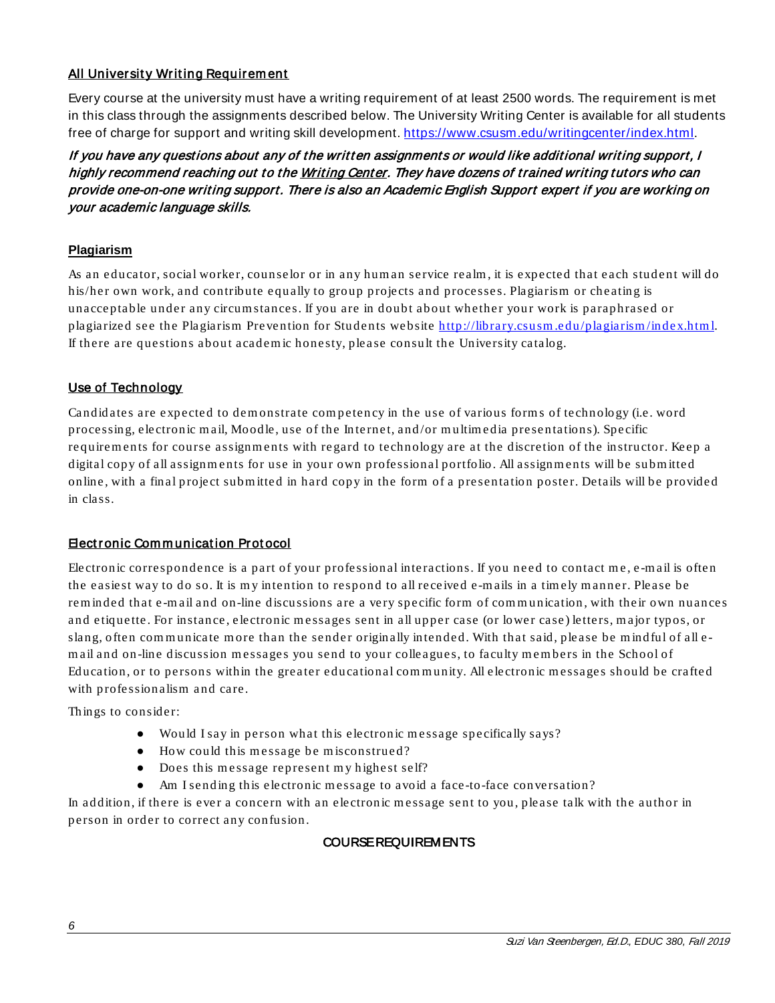# <span id="page-5-0"></span>**All University Writing Requirem ent**

Every course at the university must have a writing requirement of at least 2500 words. The requirement is met in this class through the assignments described below. The University Writing Center is available for all students free of charge for support and writing skill development. [https://www.csusm.edu/writingcenter/index.html.](https://www.csusm.edu/writingcenter/index.html)

If you have any questions about any of the written assignments or would like additional writing support, I highly recommend reaching out to th[e Writing Cent](https://www.csusm.edu/writingcenter/index.html)er. They have dozens of trained writing tutors who can provide one-on-one writing support. There is also an Academic English Support expert if you are working on your academic language skills.

### <span id="page-5-1"></span>**Plagiarism**

As an educator, social worker, counselor or in any hum an service realm , it is expected that each student will do his/her own work, and contribute equally to group projects and processes. Plagiarism or cheating is unacceptable under any circum stances. If you are in doubt about whether your work is paraphrased or plagiarized see the Plagiarism Prevention for Students website http://library.csusm.edu/plagiarism/index.html. If there are questions about academ ic honesty, please consult the University catalog.

### <span id="page-5-2"></span>Use of Technology

Candid ates are expected to dem onstrate com peten cy in the use of various form s of technology (i.e. word processing, electronic m ail, Moodle, use of the In ternet, and /or m ultim edia presentations). Specific requirem ents for course assignm ents with regard to technology are at the discretion of the instructor. Keep a digital copy of all assignments for use in your own professional portfolio. All assignments will be submitted online, with a fin al project subm itted in hard copy in the form of a presentation poster. Details will be provided in class.

### <span id="page-5-3"></span>Elect ronic Communication Protocol

Electronic correspondence is a part of your professional interactions. If you need to contact me, e-mail is often the easiest way to do so. It is my intention to respond to all received e-mails in a timely manner. Please be rem inded that e -m ail and on-line discussions are a very specific form of com m unication , with their own nuances and etiquette. For instance, electronic messages sent in all upper case (or lower case) letters, major typos, or slang, often communicate more than the sender originally intended. With that said, please be mindful of all email and on-line discussion messages you send to your colleagues, to faculty members in the School of Education, or to persons within the greater educational community. All electronic messages should be crafted with professionalism and care.

Things to consider:

- Would I say in person what this electronic message specifically says?
- How could this message be misconstrued?
- Does this message represent my highest self?
- Am I sending this electronic message to avoid a face-to-face conversation?

<span id="page-5-4"></span>In addition, if there is ever a concern with an electronic message sent to you, please talk with the author in person in order to correct any confusion.

### COURSE REQUIREMENTS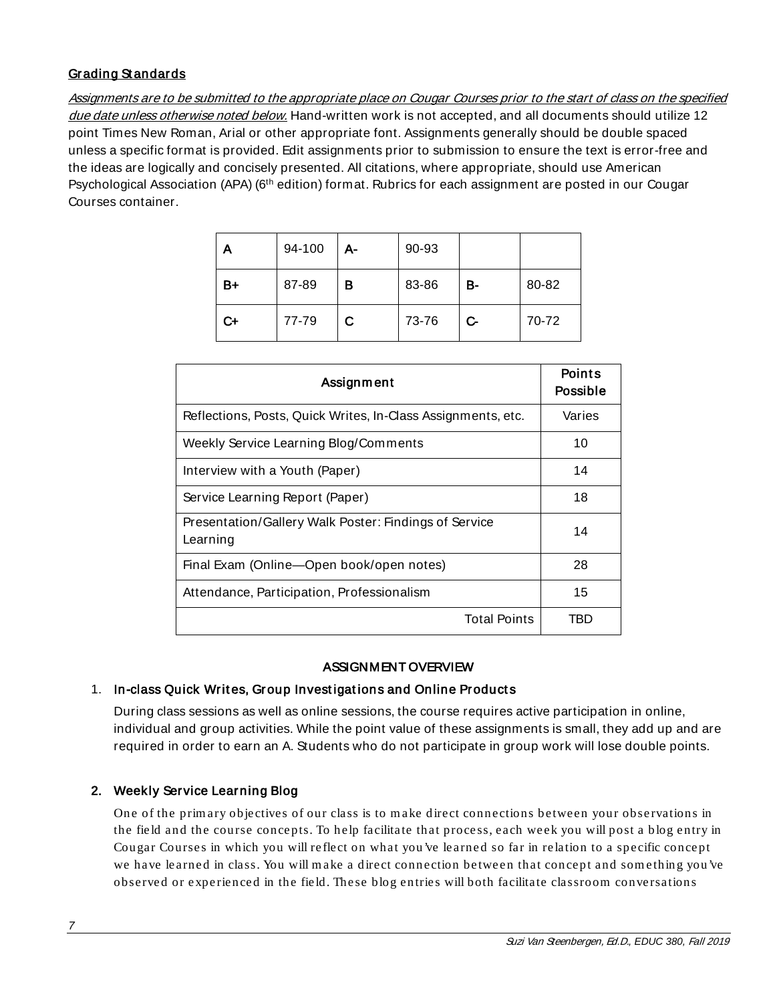# <span id="page-6-0"></span>Grading Standards

Assignments are to be submitted to the appropriate place on Cougar Courses prior to the start of class on the specified due date unless otherwise noted below. Hand-written work is not accepted, and all documents should utilize 12 point Times New Roman, Arial or other appropriate font. Assignments generally should be double spaced unless a specific format is provided. Edit assignments prior to submission to ensure the text is error-free and the ideas are logically and concisely presented. All citations, where appropriate, should use American Psychological Association (APA) (6th edition) format. Rubrics for each assignment are posted in our Cougar Courses container.

| Α  | 94-100 | А- | 90-93 |    |       |
|----|--------|----|-------|----|-------|
| B+ | 87-89  | в  | 83-86 | в- | 80-82 |
| C+ | 77-79  | C. | 73-76 | C- | 70-72 |

| Assignment                                                        | <b>Points</b><br>Possible |
|-------------------------------------------------------------------|---------------------------|
| Reflections, Posts, Quick Writes, In-Class Assignments, etc.      | Varies                    |
| Weekly Service Learning Blog/Comments                             | 10                        |
| Interview with a Youth (Paper)                                    | 14                        |
| Service Learning Report (Paper)                                   | 18                        |
| Presentation/Gallery Walk Poster: Findings of Service<br>Learning | 14                        |
| Final Exam (Online-Open book/open notes)                          | 28                        |
| Attendance, Participation, Professionalism                        | 15                        |
| <b>Total Points</b>                                               | TBD                       |

### ASSIGNMENT OVERVIEW

# <span id="page-6-1"></span>1. In-class Quick Writes, Group Investigations and Online Products

During class sessions as well as online sessions, the course requires active participation in online, individual and group activities. While the point value of these assignments is small, they add up and are required in order to earn an A. Students who do not participate in group work will lose double points.

### 2. Weekly Service Learning Blog

One of the prim ary objectives of our class is to m ake direct connections between your observations in the field and the course concepts. To help facilitate that process, each week you will post a blog entry in Cou gar Courses in which you will reflect on what you 've learned so far in relation to a specific concept we have learned in class. You will m ake a direct connection between that con cept and som ethin g you've observed or experienced in the field. These blog entries will both facilitate classroom conversations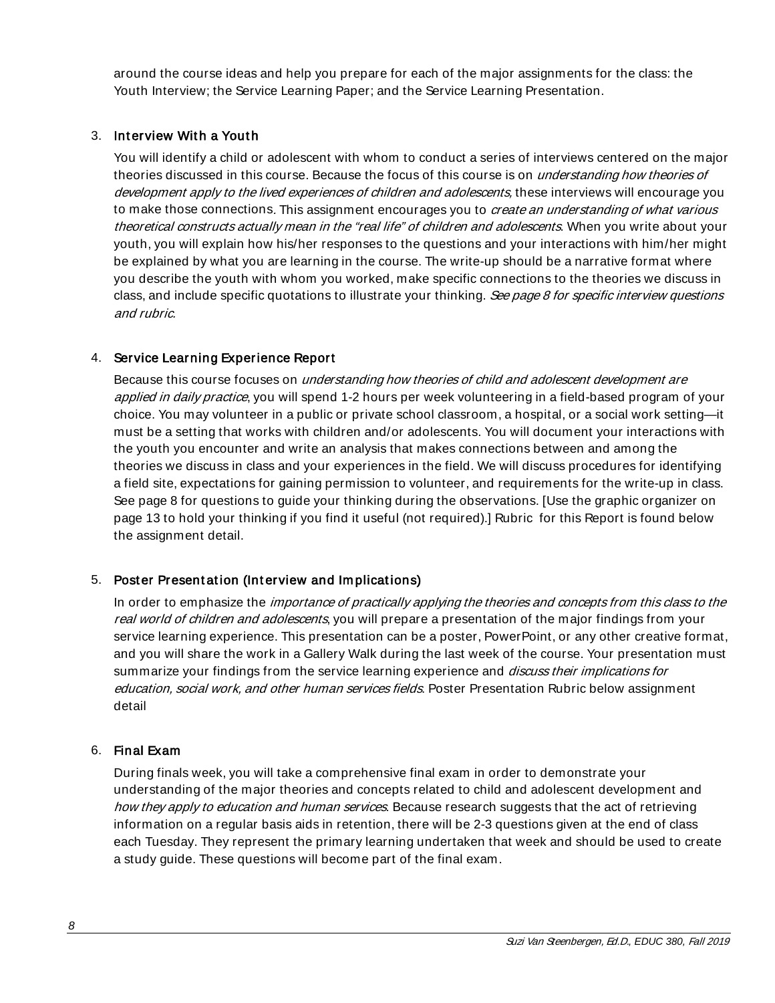around the course ideas and help you prepare for each of the major assignments for the class: the Youth Interview; the Service Learning Paper; and the Service Learning Presentation.

### 3. Interview With a Youth

You will identify a child or adolescent with whom to conduct a series of interviews centered on the major theories discussed in this course. Because the focus of this course is on *understanding how theories of* development apply to the lived experiences of children and adolescents, these interviews will encourage you to make those connections. This assignment encourages you to *create an understanding of what various* theoretical constructs actually mean in the "real life" of children and adolescents. When you write about your youth, you will explain how his/her responses to the questions and your interactions with him/her might be explained by what you are learning in the course. The write-up should be a narrative format where you describe the youth with whom you worked, make specific connections to the theories we discuss in class, and include specific quotations to illustrate your thinking. See page 8 for specific interview questions and rubric.

### 4. Service Learning Experience Report

Because this course focuses on *understanding how theories of child and adolescent development are* applied in daily practice, you will spend 1-2 hours per week volunteering in a field-based program of your choice. You may volunteer in a public or private school classroom, a hospital, or a social work setting—it must be a setting that works with children and/or adolescents. You will document your interactions with the youth you encounter and write an analysis that makes connections between and among the theories we discuss in class and your experiences in the field. We will discuss procedures for identifying a field site, expectations for gaining permission to volunteer, and requirements for the write-up in class. See page 8 for questions to guide your thinking during the observations. [Use the graphic organizer on page 13 to hold your thinking if you find it useful (not required).] Rubric for this Report is found below the assignment detail.

# 5. Poster Presentation (Interview and Implications)

In order to emphasize the *importance of practically applying the theories and concepts from this class to the* real world of children and adolescents, you will prepare a presentation of the major findings from your service learning experience. This presentation can be a poster, PowerPoint, or any other creative format, and you will share the work in a Gallery Walk during the last week of the course. Your presentation must summarize your findings from the service learning experience and *discuss their implications for* education, social work, and other human services fields. Poster Presentation Rubric below assignment detail

### 6. Final Exam

During finals week, you will take a comprehensive final exam in order to demonstrate your understanding of the major theories and concepts related to child and adolescent development and how they apply to education and human services. Because research suggests that the act of retrieving information on a regular basis aids in retention, there will be 2-3 questions given at the end of class each Tuesday. They represent the primary learning undertaken that week and should be used to create a study guide. These questions will become part of the final exam.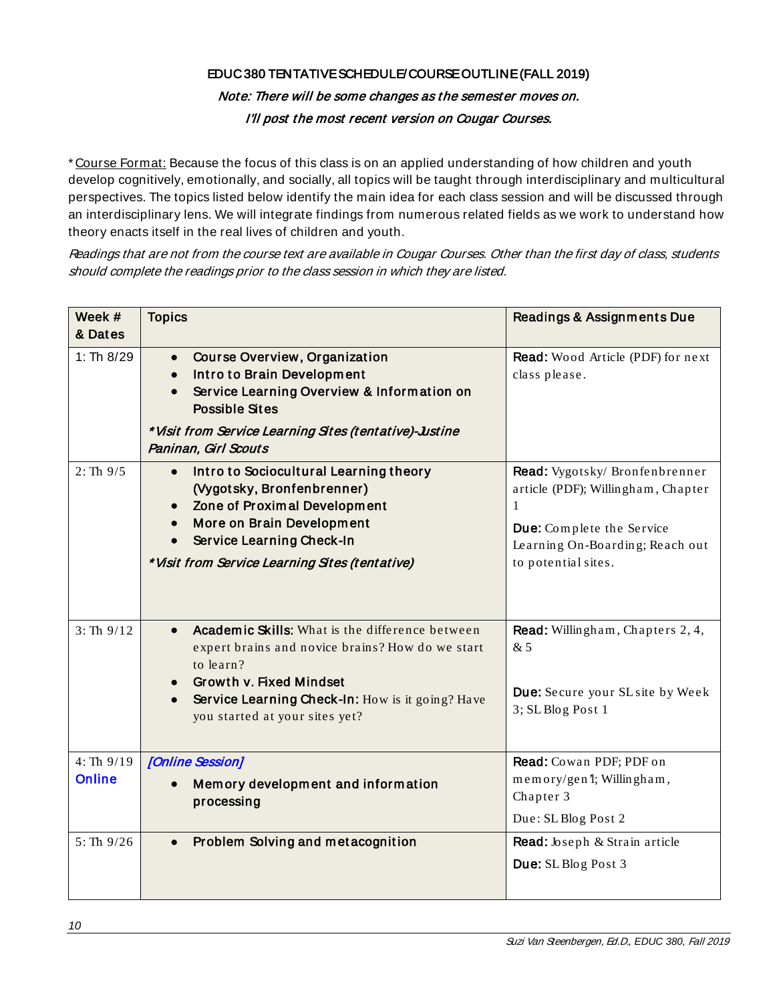# EDUC 380 TENTATIVE SCHEDULE/COURSE OUTLINE (FALL 2019)

# Note: There will be some changes as the semest er moves on. I'll post the most recent version on Cougar Courses.

\* Course Format: Because the focus of this class is on an applied understanding of how children and youth develop cognitively, emotionally, and socially, all topics will be taught through interdisciplinary and multicultural perspectives. The topics listed below identify the main idea for each class session and will be discussed through an interdisciplinary lens. We will integrate findings from numerous related fields as we work to understand how theory enacts itself in the real lives of children and youth.

Readings that are not from the course text are available in Cougar Courses. Other than the first day of class, students should complete the readings prior to the class session in which they are listed.

| Week #                     | <b>Topics</b>                                                                                                                                                                                                                     | Readings & Assignments Due                                                                                                                                       |
|----------------------------|-----------------------------------------------------------------------------------------------------------------------------------------------------------------------------------------------------------------------------------|------------------------------------------------------------------------------------------------------------------------------------------------------------------|
| & Dates                    |                                                                                                                                                                                                                                   |                                                                                                                                                                  |
| 1: Th $8/29$               | Course Overview, Organization<br>$\bullet$<br>Intro to Brain Development<br>$\bullet$<br>Service Learning Overview & Information on<br><b>Possible Sites</b><br>* Visit from Service Learning Sites (tentative)-Justine           | <b>Read:</b> Wood Article (PDF) for next<br>class please.                                                                                                        |
|                            | Paninan, Girl Scouts                                                                                                                                                                                                              |                                                                                                                                                                  |
| $2: Th\ 9/5$               | Intro to Sociocultural Learning theory<br>(Vygotsky, Bronfenbrenner)<br>Zone of Proximal Development<br>More on Brain Development<br>Service Learning Check-In<br>* Visit from Service Learning Sites (tentative)                 | Read: Vygotsky/ Bronfenbrenner<br>article (PDF); Willingham, Chapter<br>1<br>Due: Complete the Service<br>Learning On-Boarding; Reach out<br>to potential sites. |
|                            |                                                                                                                                                                                                                                   |                                                                                                                                                                  |
| 3: Th9/12                  | Academic Skills: What is the difference between<br>expert brains and novice brains? How do we start<br>to learn?<br>Growth v. Fixed Mindset<br>Service Learning Check-In: How is it going? Have<br>you started at your sites yet? | Read: Willingham, Chapters 2, 4,<br>&5<br>Due: Secure your SL site by Week<br>3; SL Blog Post 1                                                                  |
| 4: Th9/19<br><b>Online</b> | [Online Session]<br>Memory development and information<br>processing                                                                                                                                                              | Read: Cowan PDF; PDF on<br>memory/gen 'l; Willingham,<br>Chapter 3<br>Due: SL Blog Post 2                                                                        |
| 5: Th9/26                  | Problem Solving and metacognition                                                                                                                                                                                                 | Read: Joseph & Strain article<br>Due: SL Blog Post 3                                                                                                             |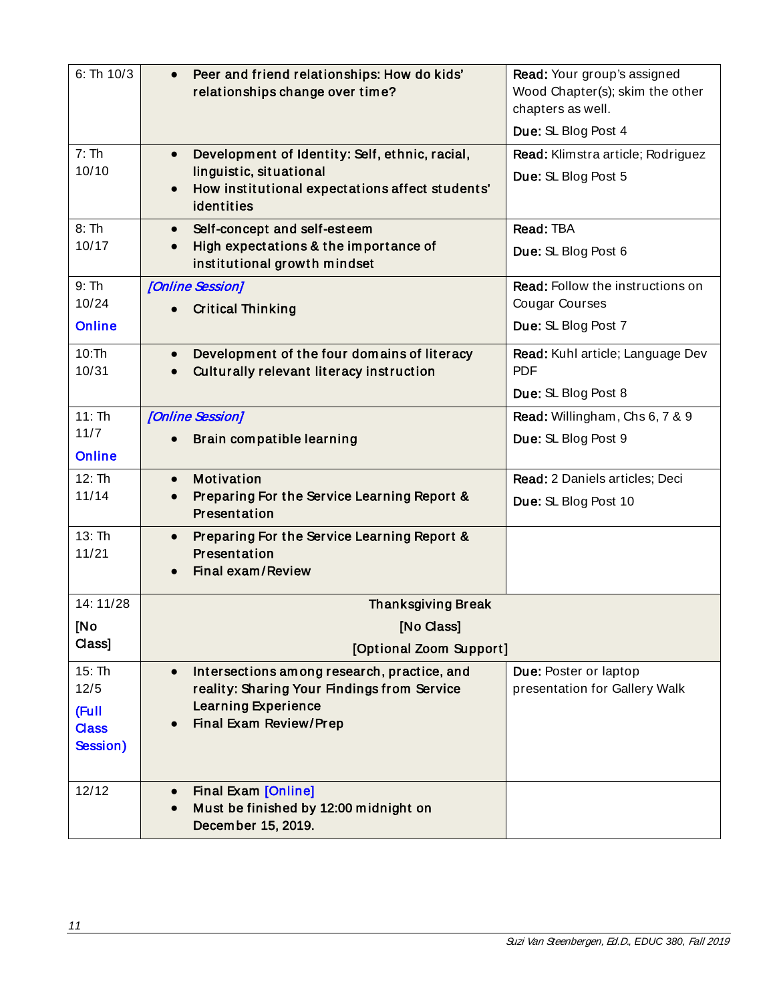| 6: Th 10/3                                          | Peer and friend relationships: How do kids'<br>$\bullet$<br>relationships change over time?                                                                     | Read: Your group's assigned<br>Wood Chapter(s); skim the other<br>chapters as well. |
|-----------------------------------------------------|-----------------------------------------------------------------------------------------------------------------------------------------------------------------|-------------------------------------------------------------------------------------|
|                                                     |                                                                                                                                                                 | Due: SL Blog Post 4                                                                 |
| 7:Th<br>10/10                                       | Development of Identity: Self, ethnic, racial,<br>$\bullet$<br>linguistic, situational<br>How institutional expectations affect students'<br>identities         | Read: Klimstra article; Rodriguez<br>Due: SL Blog Post 5                            |
| 8:Th<br>10/17                                       | Self-concept and self-esteem<br>$\bullet$<br>High expectations & the importance of<br>$\bullet$<br>institutional growth mindset                                 | Read: TBA<br>Due: SL Blog Post 6                                                    |
| 9:Th<br>10/24<br><b>Online</b>                      | [Online Session]<br><b>Critical Thinking</b>                                                                                                                    | Read: Follow the instructions on<br><b>Cougar Courses</b><br>Due: SL Blog Post 7    |
| 10:Th<br>10/31                                      | Development of the four domains of literacy<br>$\bullet$<br>Culturally relevant literacy instruction                                                            | Read: Kuhl article; Language Dev<br><b>PDF</b><br>Due: SL Blog Post 8               |
| 11:Th<br>$11/7$<br><b>Online</b>                    | [Online Session]<br>Brain compatible learning                                                                                                                   | Read: Willingham, Chs 6, 7 & 9<br>Due: SL Blog Post 9                               |
| 12:Th<br>11/14                                      | <b>Motivation</b><br>$\bullet$<br>Preparing For the Service Learning Report &<br>Presentation                                                                   | Read: 2 Daniels articles; Deci<br>Due: SL Blog Post 10                              |
| 13:Th<br>11/21                                      | Preparing For the Service Learning Report &<br>$\bullet$<br>Presentation<br>Final exam/Review                                                                   |                                                                                     |
| 14:11/28                                            | <b>Thanksgiving Break</b>                                                                                                                                       |                                                                                     |
| [No<br>Class]                                       | [No Class]<br>[Optional Zoom Support]                                                                                                                           |                                                                                     |
| 15: Th<br>12/5<br>(Full<br><b>Class</b><br>Session) | Intersections among research, practice, and<br>$\bullet$<br>reality: Sharing Your Findings from Service<br><b>Learning Experience</b><br>Final Exam Review/Prep | Due: Poster or laptop<br>presentation for Gallery Walk                              |
| 12/12                                               | <b>Final Exam [Online]</b><br>Must be finished by 12:00 midnight on<br>December 15, 2019.                                                                       |                                                                                     |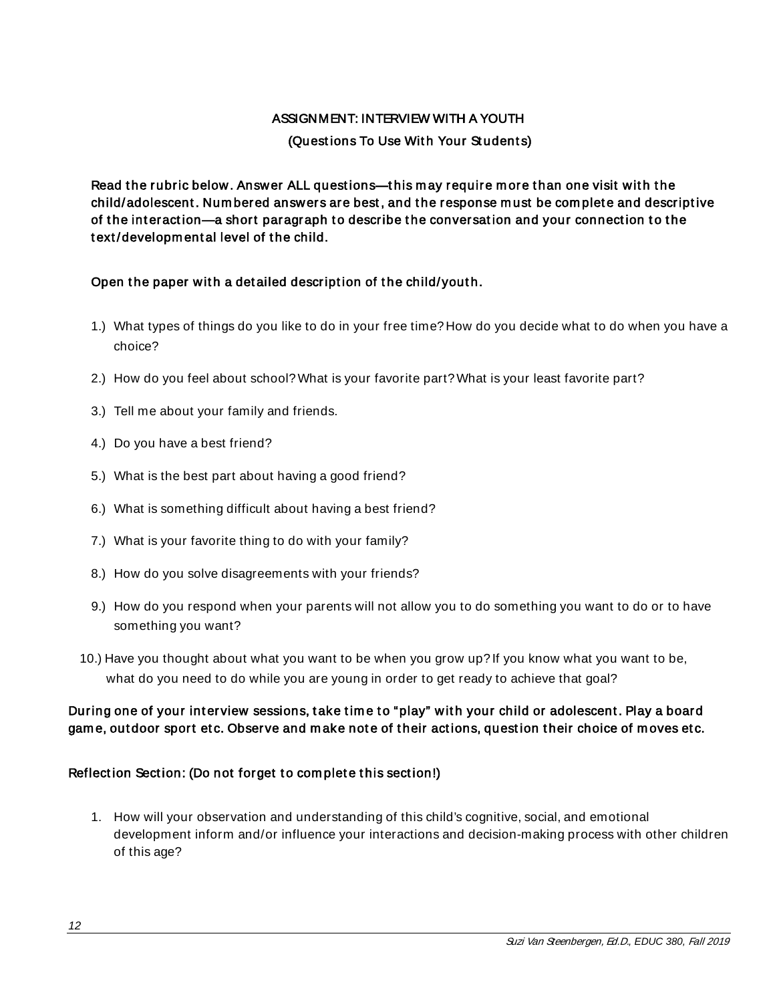### ASSIGNMENT: INTERVIEW WITH A YOUTH

### (Questions To Use With Your Students)

<span id="page-11-0"></span>Read the rubric below. Answer ALL questions—this may require more than one visit with the child/adolescent. Numbered answers are best, and the response must be complete and descriptive of the interaction—a short paragraph to describe the conversation and your connection to the text/developmental level of the child.

### Open the paper with a detailed description of the child/youth.

- 1.) What types of things do you like to do in your free time? How do you decide what to do when you have a choice?
- 2.) How do you feel about school? What is your favorite part? What is your least favorite part?
- 3.) Tell me about your family and friends.
- 4.) Do you have a best friend?
- 5.) What is the best part about having a good friend?
- 6.) What is something difficult about having a best friend?
- 7.) What is your favorite thing to do with your family?
- 8.) How do you solve disagreements with your friends?
- 9.) How do you respond when your parents will not allow you to do something you want to do or to have something you want?
- 10.) Have you thought about what you want to be when you grow up? If you know what you want to be, what do you need to do while you are young in order to get ready to achieve that goal?

# During one of your interview sessions, take time to "play" with your child or adolescent. Play a board game, outdoor sport etc. Observe and make note of their actions, question their choice of moves etc.

### Reflection Section: (Do not forget to complete this section!)

1. How will your observation and understanding of this child's cognitive, social, and emotional development inform and/or influence your interactions and decision-making process with other children of this age?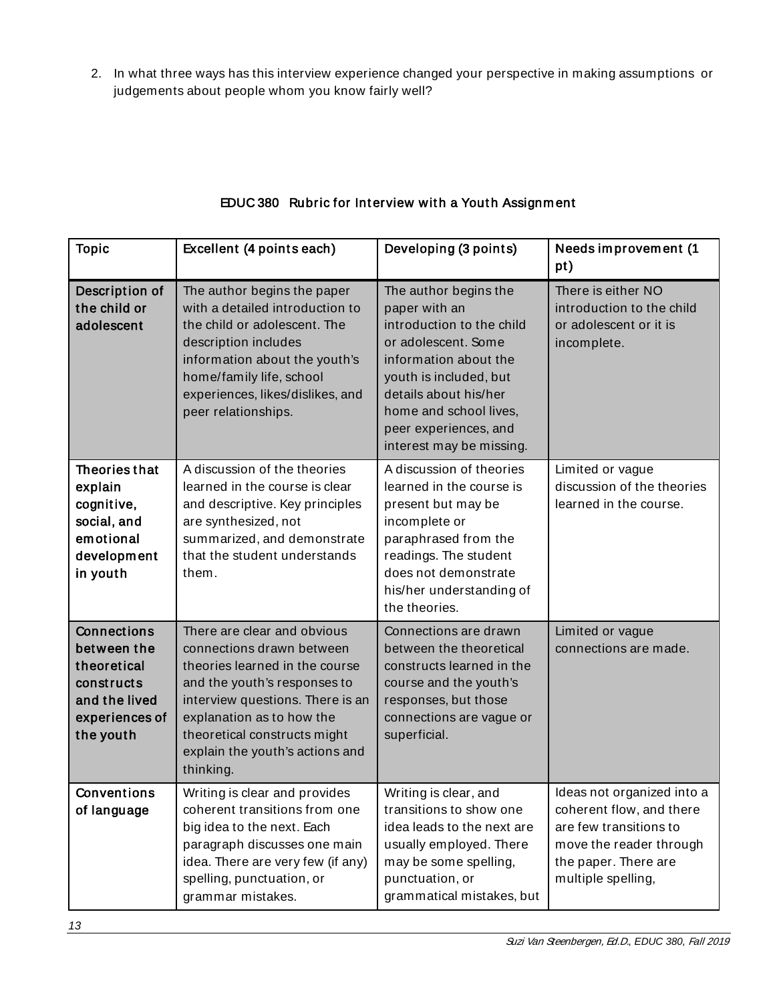2. In what three ways has this interview experience changed your perspective in making assumptions or judgements about people whom you know fairly well?

| <b>Topic</b>                                                                                            | Excellent (4 points each)                                                                                                                                                                                                                                                   | Developing (3 points)                                                                                                                                                                                                                                 | Needs improvement (1<br>pt)                                                                                                                               |
|---------------------------------------------------------------------------------------------------------|-----------------------------------------------------------------------------------------------------------------------------------------------------------------------------------------------------------------------------------------------------------------------------|-------------------------------------------------------------------------------------------------------------------------------------------------------------------------------------------------------------------------------------------------------|-----------------------------------------------------------------------------------------------------------------------------------------------------------|
| Description of<br>the child or<br>adolescent                                                            | The author begins the paper<br>with a detailed introduction to<br>the child or adolescent. The<br>description includes<br>information about the youth's<br>home/family life, school<br>experiences, likes/dislikes, and<br>peer relationships.                              | The author begins the<br>paper with an<br>introduction to the child<br>or adolescent. Some<br>information about the<br>youth is included, but<br>details about his/her<br>home and school lives.<br>peer experiences, and<br>interest may be missing. | There is either NO<br>introduction to the child<br>or adolescent or it is<br>incomplete.                                                                  |
| Theories that<br>explain<br>cognitive,<br>social, and<br>emotional<br>development<br>in youth           | A discussion of the theories<br>learned in the course is clear<br>and descriptive. Key principles<br>are synthesized, not<br>summarized, and demonstrate<br>that the student understands<br>them.                                                                           | A discussion of theories<br>learned in the course is<br>present but may be<br>incomplete or<br>paraphrased from the<br>readings. The student<br>does not demonstrate<br>his/her understanding of<br>the theories.                                     | Limited or vague<br>discussion of the theories<br>learned in the course.                                                                                  |
| Connections<br>between the<br>theoretical<br>constructs<br>and the lived<br>experiences of<br>the youth | There are clear and obvious<br>connections drawn between<br>theories learned in the course<br>and the youth's responses to<br>interview questions. There is an<br>explanation as to how the<br>theoretical constructs might<br>explain the youth's actions and<br>thinking. | Connections are drawn<br>between the theoretical<br>constructs learned in the<br>course and the youth's<br>responses, but those<br>connections are vague or<br>superficial.                                                                           | Limited or vague<br>connections are made.                                                                                                                 |
| <b>Conventions</b><br>of language                                                                       | Writing is clear and provides<br>coherent transitions from one<br>big idea to the next. Each<br>paragraph discusses one main<br>idea. There are very few (if any)<br>spelling, punctuation, or<br>grammar mistakes.                                                         | Writing is clear, and<br>transitions to show one<br>idea leads to the next are<br>usually employed. There<br>may be some spelling,<br>punctuation, or<br>grammatical mistakes, but                                                                    | Ideas not organized into a<br>coherent flow, and there<br>are few transitions to<br>move the reader through<br>the paper. There are<br>multiple spelling, |

# EDUC 380 Rubric for Interview with a Youth Assignment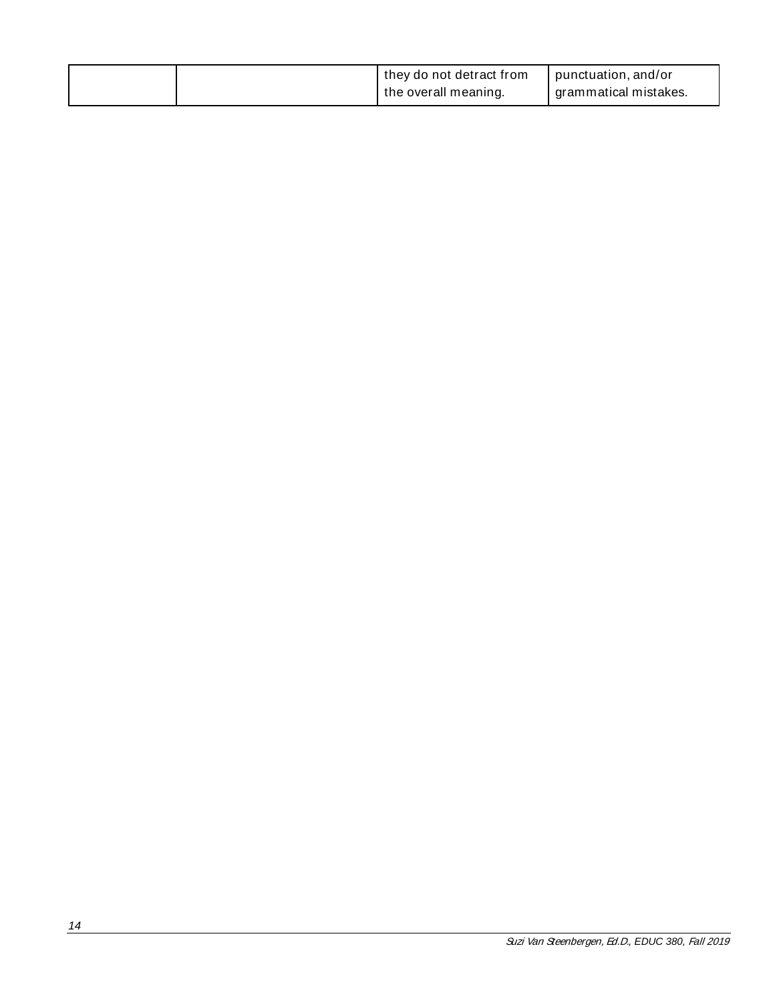<span id="page-13-0"></span>

|  | I they do not detract from | punctuation, and/or     |
|--|----------------------------|-------------------------|
|  | the overall meaning.       | I grammatical mistakes. |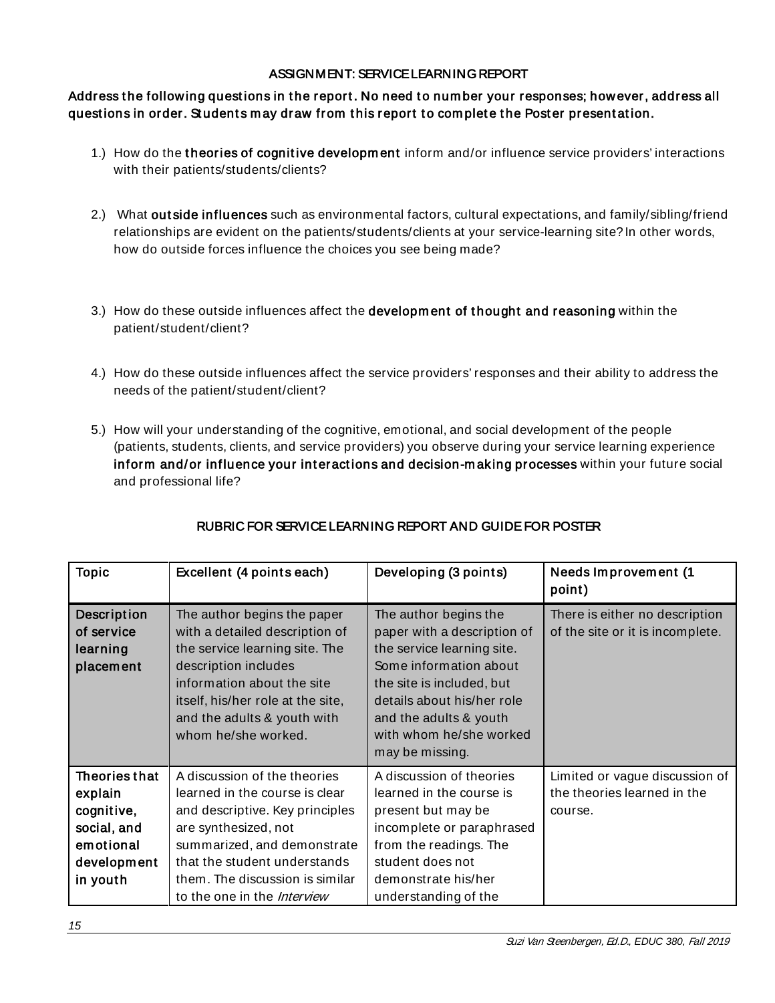### ASSIGNMENT: SERVICE LEARNING REPORT

# Address the following questions in the report. No need to number your responses; however, address all questions in order. Students may draw from this report to complete the Poster presentation.

- 1.) How do the theories of cognitive development inform and/or influence service providers' interactions with their patients/students/clients?
- 2.) What outside influences such as environmental factors, cultural expectations, and family/sibling/friend relationships are evident on the patients/students/clients at your service-learning site? In other words, how do outside forces influence the choices you see being made?
- 3.) How do these outside influences affect the developm ent of t hought and reasoning within the patient/student/client?
- 4.) How do these outside influences affect the service providers' responses and their ability to address the needs of the patient/student/client?
- 5.) How will your understanding of the cognitive, emotional, and social development of the people (patients, students, clients, and service providers) you observe during your service learning experience inform and/or influence your interactions and decision-making processes within your future social and professional life?

| <b>Topic</b>                                                                                  | Excellent (4 points each)                                                                                                                                                                                                                                         | Developing (3 points)                                                                                                                                                                                                                           | <b>Needs Improvement (1</b><br>point)                                    |
|-----------------------------------------------------------------------------------------------|-------------------------------------------------------------------------------------------------------------------------------------------------------------------------------------------------------------------------------------------------------------------|-------------------------------------------------------------------------------------------------------------------------------------------------------------------------------------------------------------------------------------------------|--------------------------------------------------------------------------|
| Description<br>of service<br>learning<br>placement                                            | The author begins the paper<br>with a detailed description of<br>the service learning site. The<br>description includes<br>information about the site<br>itself, his/her role at the site,<br>and the adults & youth with<br>whom he/she worked.                  | The author begins the<br>paper with a description of<br>the service learning site.<br>Some information about<br>the site is included, but<br>details about his/her role<br>and the adults & youth<br>with whom he/she worked<br>may be missing. | There is either no description<br>of the site or it is incomplete.       |
| Theories that<br>explain<br>cognitive,<br>social, and<br>emotional<br>development<br>in youth | A discussion of the theories<br>learned in the course is clear<br>and descriptive. Key principles<br>are synthesized, not<br>summarized, and demonstrate<br>that the student understands<br>them. The discussion is similar<br>to the one in the <i>Interview</i> | A discussion of theories<br>learned in the course is<br>present but may be<br>incomplete or paraphrased<br>from the readings. The<br>student does not<br>demonstrate his/her<br>understanding of the                                            | Limited or vague discussion of<br>the theories learned in the<br>course. |

# RUBRIC FOR SERVICE LEARNING REPORT AND GUIDE FOR POSTER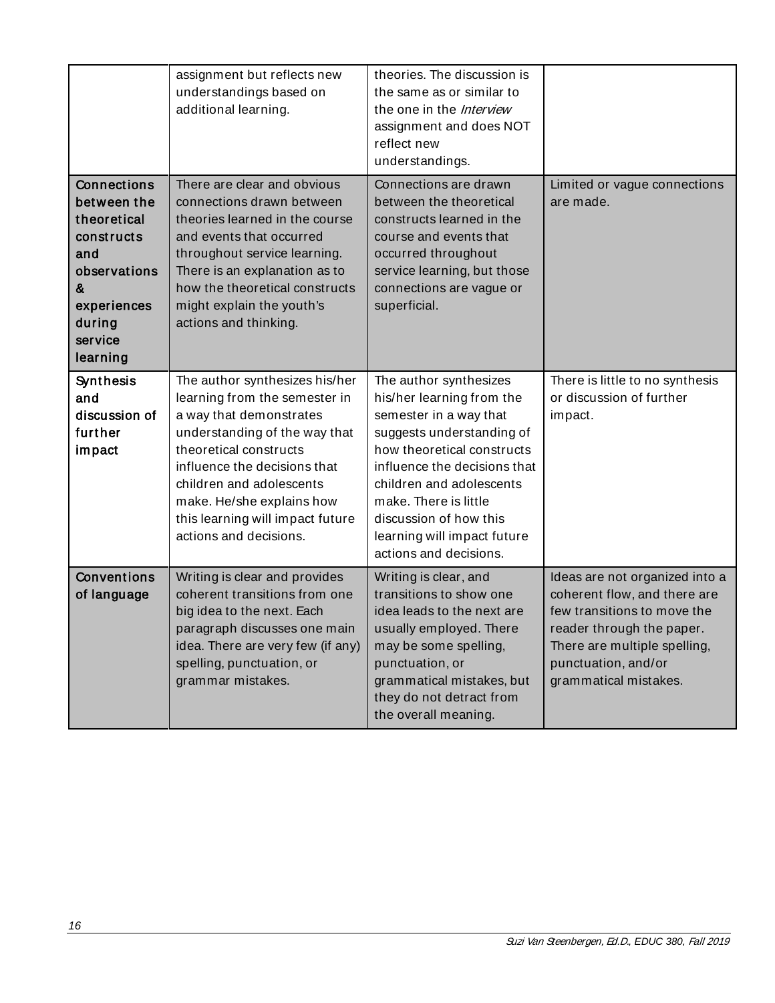|                                                                                                                                     | assignment but reflects new<br>understandings based on<br>additional learning.                                                                                                                                                                                                                               | theories. The discussion is<br>the same as or similar to<br>the one in the <i>Interview</i><br>assignment and does NOT<br>reflect new<br>understandings.                                                                                                                                                         |                                                                                                                                                                                                            |
|-------------------------------------------------------------------------------------------------------------------------------------|--------------------------------------------------------------------------------------------------------------------------------------------------------------------------------------------------------------------------------------------------------------------------------------------------------------|------------------------------------------------------------------------------------------------------------------------------------------------------------------------------------------------------------------------------------------------------------------------------------------------------------------|------------------------------------------------------------------------------------------------------------------------------------------------------------------------------------------------------------|
| Connections<br>between the<br>theoretical<br>constructs<br>and<br>observations<br>&<br>experiences<br>during<br>service<br>learning | There are clear and obvious<br>connections drawn between<br>theories learned in the course<br>and events that occurred<br>throughout service learning.<br>There is an explanation as to<br>how the theoretical constructs<br>might explain the youth's<br>actions and thinking.                              | Connections are drawn<br>between the theoretical<br>constructs learned in the<br>course and events that<br>occurred throughout<br>service learning, but those<br>connections are vague or<br>superficial.                                                                                                        | Limited or vague connections<br>are made.                                                                                                                                                                  |
| Synthesis<br>and<br>discussion of<br>further<br>impact                                                                              | The author synthesizes his/her<br>learning from the semester in<br>a way that demonstrates<br>understanding of the way that<br>theoretical constructs<br>influence the decisions that<br>children and adolescents<br>make. He/she explains how<br>this learning will impact future<br>actions and decisions. | The author synthesizes<br>his/her learning from the<br>semester in a way that<br>suggests understanding of<br>how theoretical constructs<br>influence the decisions that<br>children and adolescents<br>make. There is little<br>discussion of how this<br>learning will impact future<br>actions and decisions. | There is little to no synthesis<br>or discussion of further<br>impact.                                                                                                                                     |
| Conventions<br>of language                                                                                                          | Writing is clear and provides<br>coherent transitions from one<br>big idea to the next. Each<br>paragraph discusses one main<br>idea. There are very few (if any)<br>spelling, punctuation, or<br>grammar mistakes.                                                                                          | Writing is clear, and<br>transitions to show one<br>idea leads to the next are<br>usually employed. There<br>may be some spelling,<br>punctuation, or<br>grammatical mistakes, but<br>they do not detract from<br>the overall meaning.                                                                           | Ideas are not organized into a<br>coherent flow, and there are<br>few transitions to move the<br>reader through the paper.<br>There are multiple spelling,<br>punctuation, and/or<br>grammatical mistakes. |

<span id="page-15-0"></span><u> 1980 - Johann Barnett, fransk politik (</u>